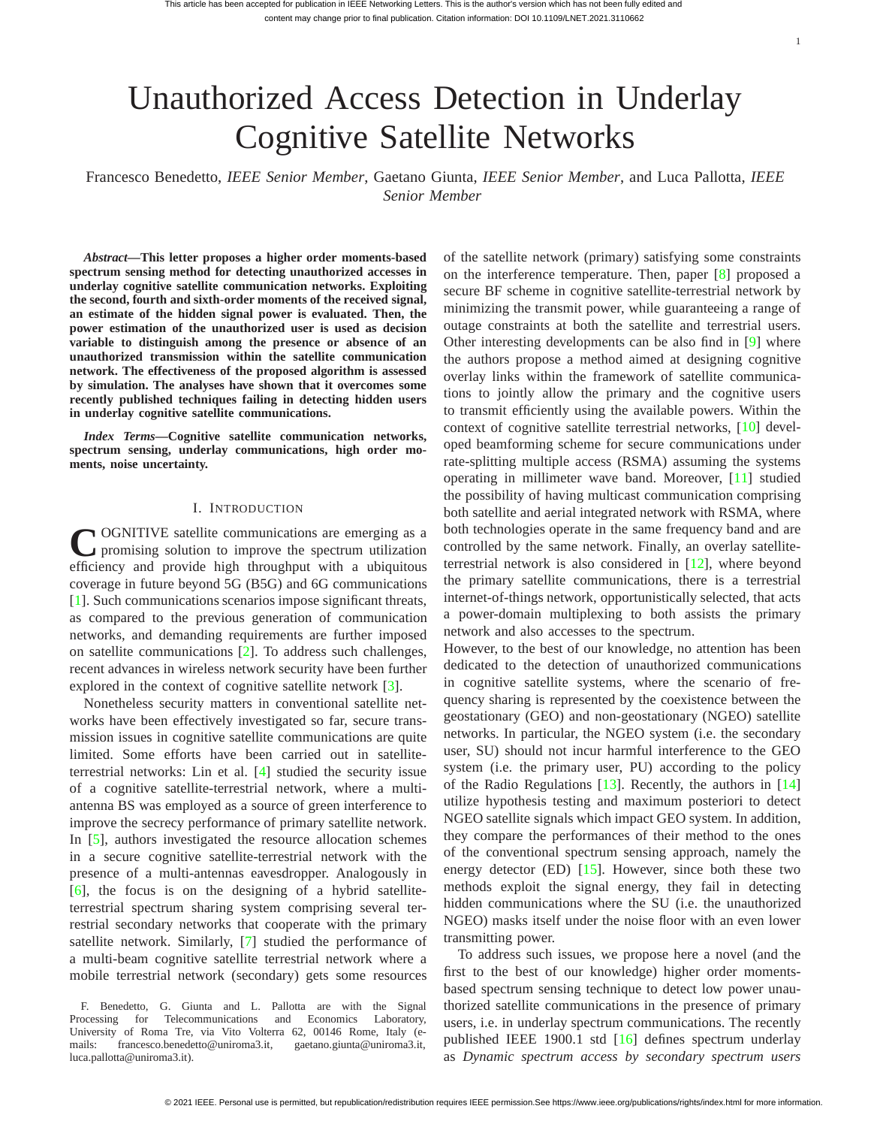# Unauthorized Access Detection in Underlay Cognitive Satellite Networks

Francesco Benedetto, *IEEE Senior Member*, Gaetano Giunta, *IEEE Senior Member*, and Luca Pallotta, *IEEE Senior Member*

*Abstract***—This letter proposes a higher order moments-based spectrum sensing method for detecting unauthorized accesses in underlay cognitive satellite communication networks. Exploiting the second, fourth and sixth-order moments of the received signal, an estimate of the hidden signal power is evaluated. Then, the power estimation of the unauthorized user is used as decision variable to distinguish among the presence or absence of an unauthorized transmission within the satellite communication network. The effectiveness of the proposed algorithm is assessed by simulation. The analyses have shown that it overcomes some recently published techniques failing in detecting hidden users in underlay cognitive satellite communications.**

*Index Terms***—Cognitive satellite communication networks, spectrum sensing, underlay communications, high order moments, noise uncertainty.**

# I. INTRODUCTION

COGNITIVE satellite communications are emerging as a promising solution to improve the spectrum utilization promising solution to improve the spectrum utilization efficiency and provide high throughput with a ubiquitous coverage in future beyond 5G (B5G) and 6G communications [\[1\]](#page-4-0). Such communications scenarios impose significant threats, as compared to the previous generation of communication networks, and demanding requirements are further imposed on satellite communications [\[2\]](#page-4-1). To address such challenges, recent advances in wireless network security have been further explored in the context of cognitive satellite network [\[3\]](#page-4-2).

Nonetheless security matters in conventional satellite networks have been effectively investigated so far, secure transmission issues in cognitive satellite communications are quite limited. Some efforts have been carried out in satelliteterrestrial networks: Lin et al. [\[4\]](#page-4-3) studied the security issue of a cognitive satellite-terrestrial network, where a multiantenna BS was employed as a source of green interference to improve the secrecy performance of primary satellite network. In [\[5\]](#page-4-4), authors investigated the resource allocation schemes in a secure cognitive satellite-terrestrial network with the presence of a multi-antennas eavesdropper. Analogously in [\[6\]](#page-4-5), the focus is on the designing of a hybrid satelliteterrestrial spectrum sharing system comprising several terrestrial secondary networks that cooperate with the primary satellite network. Similarly, [\[7\]](#page-4-6) studied the performance of a multi-beam cognitive satellite terrestrial network where a mobile terrestrial network (secondary) gets some resources of the satellite network (primary) satisfying some constraints on the interference temperature. Then, paper [\[8\]](#page-4-7) proposed a secure BF scheme in cognitive satellite-terrestrial network by minimizing the transmit power, while guaranteeing a range of outage constraints at both the satellite and terrestrial users. Other interesting developments can be also find in [\[9\]](#page-4-8) where the authors propose a method aimed at designing cognitive overlay links within the framework of satellite communications to jointly allow the primary and the cognitive users to transmit efficiently using the available powers. Within the context of cognitive satellite terrestrial networks, [\[10\]](#page-4-9) developed beamforming scheme for secure communications under rate-splitting multiple access (RSMA) assuming the systems operating in millimeter wave band. Moreover, [\[11\]](#page-4-10) studied the possibility of having multicast communication comprising both satellite and aerial integrated network with RSMA, where both technologies operate in the same frequency band and are controlled by the same network. Finally, an overlay satelliteterrestrial network is also considered in [\[12\]](#page-4-11), where beyond the primary satellite communications, there is a terrestrial internet-of-things network, opportunistically selected, that acts a power-domain multiplexing to both assists the primary network and also accesses to the spectrum.

However, to the best of our knowledge, no attention has been dedicated to the detection of unauthorized communications in cognitive satellite systems, where the scenario of frequency sharing is represented by the coexistence between the geostationary (GEO) and non-geostationary (NGEO) satellite networks. In particular, the NGEO system (i.e. the secondary user, SU) should not incur harmful interference to the GEO system (i.e. the primary user, PU) according to the policy of the Radio Regulations [\[13\]](#page-4-12). Recently, the authors in [\[14\]](#page-4-13) utilize hypothesis testing and maximum posteriori to detect NGEO satellite signals which impact GEO system. In addition, they compare the performances of their method to the ones of the conventional spectrum sensing approach, namely the energy detector  $(ED)$  [\[15\]](#page-4-14). However, since both these two methods exploit the signal energy, they fail in detecting hidden communications where the SU (i.e. the unauthorized NGEO) masks itself under the noise floor with an even lower transmitting power.

To address such issues, we propose here a novel (and the first to the best of our knowledge) higher order momentsbased spectrum sensing technique to detect low power unauthorized satellite communications in the presence of primary users, i.e. in underlay spectrum communications. The recently published IEEE 1900.1 std [\[16\]](#page-4-15) defines spectrum underlay as *Dynamic spectrum access by secondary spectrum users*

F. Benedetto, G. Giunta and L. Pallotta are with the Signal Processing for Telecommunications and Economics Laboratory, University of Roma Tre, via Vito Volterra 62, 00146 Rome, Italy (emails: francesco.benedetto@uniroma3.it, gaetano.giunta@uniroma3.it, luca.pallotta@uniroma3.it).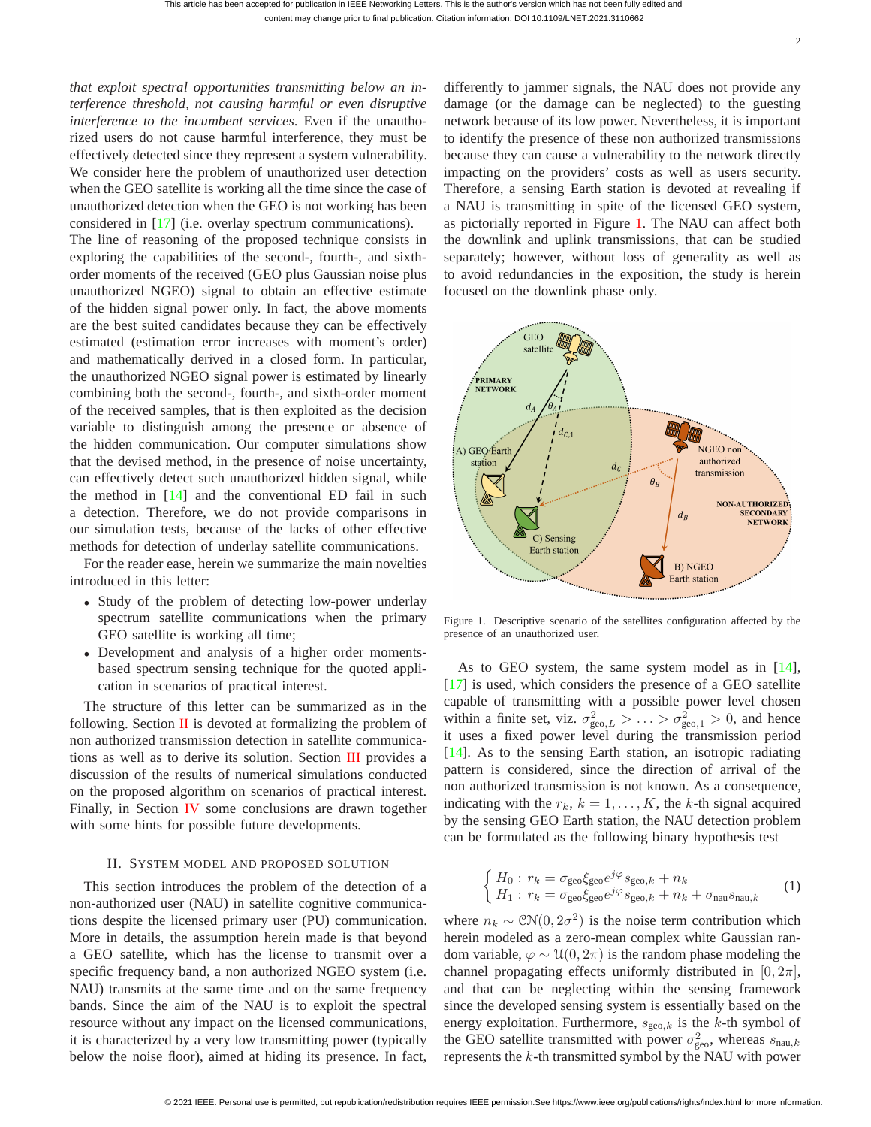*that exploit spectral opportunities transmitting below an interference threshold, not causing harmful or even disruptive interference to the incumbent services*. Even if the unauthorized users do not cause harmful interference, they must be effectively detected since they represent a system vulnerability. We consider here the problem of unauthorized user detection when the GEO satellite is working all the time since the case of unauthorized detection when the GEO is not working has been considered in [\[17\]](#page-4-16) (i.e. overlay spectrum communications).

The line of reasoning of the proposed technique consists in exploring the capabilities of the second-, fourth-, and sixthorder moments of the received (GEO plus Gaussian noise plus unauthorized NGEO) signal to obtain an effective estimate of the hidden signal power only. In fact, the above moments are the best suited candidates because they can be effectively estimated (estimation error increases with moment's order) and mathematically derived in a closed form. In particular, the unauthorized NGEO signal power is estimated by linearly combining both the second-, fourth-, and sixth-order moment of the received samples, that is then exploited as the decision variable to distinguish among the presence or absence of the hidden communication. Our computer simulations show that the devised method, in the presence of noise uncertainty, can effectively detect such unauthorized hidden signal, while the method in [\[14\]](#page-4-13) and the conventional ED fail in such a detection. Therefore, we do not provide comparisons in our simulation tests, because of the lacks of other effective methods for detection of underlay satellite communications.

For the reader ease, herein we summarize the main novelties introduced in this letter:

- Study of the problem of detecting low-power underlay spectrum satellite communications when the primary GEO satellite is working all time;
- Development and analysis of a higher order momentsbased spectrum sensing technique for the quoted application in scenarios of practical interest.

The structure of this letter can be summarized as in the following. Section  $\Pi$  is devoted at formalizing the problem of non authorized transmission detection in satellite communications as well as to derive its solution. Section [III](#page-3-0) provides a discussion of the results of numerical simulations conducted on the proposed algorithm on scenarios of practical interest. Finally, in Section [IV](#page-4-17) some conclusions are drawn together with some hints for possible future developments.

## II. SYSTEM MODEL AND PROPOSED SOLUTION

<span id="page-1-0"></span>This section introduces the problem of the detection of a non-authorized user (NAU) in satellite cognitive communications despite the licensed primary user (PU) communication. More in details, the assumption herein made is that beyond a GEO satellite, which has the license to transmit over a specific frequency band, a non authorized NGEO system (i.e. NAU) transmits at the same time and on the same frequency bands. Since the aim of the NAU is to exploit the spectral resource without any impact on the licensed communications, it is characterized by a very low transmitting power (typically below the noise floor), aimed at hiding its presence. In fact, differently to jammer signals, the NAU does not provide any damage (or the damage can be neglected) to the guesting network because of its low power. Nevertheless, it is important to identify the presence of these non authorized transmissions because they can cause a vulnerability to the network directly impacting on the providers' costs as well as users security. Therefore, a sensing Earth station is devoted at revealing if a NAU is transmitting in spite of the licensed GEO system, as pictorially reported in Figure [1.](#page-1-1) The NAU can affect both the downlink and uplink transmissions, that can be studied separately; however, without loss of generality as well as to avoid redundancies in the exposition, the study is herein focused on the downlink phase only.



<span id="page-1-1"></span>Figure 1. Descriptive scenario of the satellites configuration affected by the presence of an unauthorized user.

As to GEO system, the same system model as in [\[14\]](#page-4-13), [\[17\]](#page-4-16) is used, which considers the presence of a GEO satellite capable of transmitting with a possible power level chosen within a finite set, viz.  $\sigma_{\text{geo},L}^2 > ... > \sigma_{\text{geo},1}^2 > 0$ , and hence it uses a fixed power level during the transmission period [\[14\]](#page-4-13). As to the sensing Earth station, an isotropic radiating pattern is considered, since the direction of arrival of the non authorized transmission is not known. As a consequence, indicating with the  $r_k$ ,  $k = 1, \ldots, K$ , the k-th signal acquired by the sensing GEO Earth station, the NAU detection problem can be formulated as the following binary hypothesis test

<span id="page-1-2"></span>
$$
\begin{cases} H_0: r_k = \sigma_{\text{geo}} \xi_{\text{geo}} e^{j\varphi} s_{\text{geo},k} + n_k \\ H_1: r_k = \sigma_{\text{geo}} \xi_{\text{geo}} e^{j\varphi} s_{\text{geo},k} + n_k + \sigma_{\text{nau}} s_{\text{nau},k} \end{cases} (1)
$$

where  $n_k \sim \mathcal{CN}(0, 2\sigma^2)$  is the noise term contribution which herein modeled as a zero-mean complex white Gaussian random variable,  $\varphi \sim \mathcal{U}(0, 2\pi)$  is the random phase modeling the channel propagating effects uniformly distributed in  $[0, 2\pi]$ , and that can be neglecting within the sensing framework since the developed sensing system is essentially based on the energy exploitation. Furthermore,  $s_{\text{geo},k}$  is the k-th symbol of the GEO satellite transmitted with power  $\sigma_{\text{geo}}^2$ , whereas  $s_{\text{nau},k}$ represents the  $k$ -th transmitted symbol by the NAU with power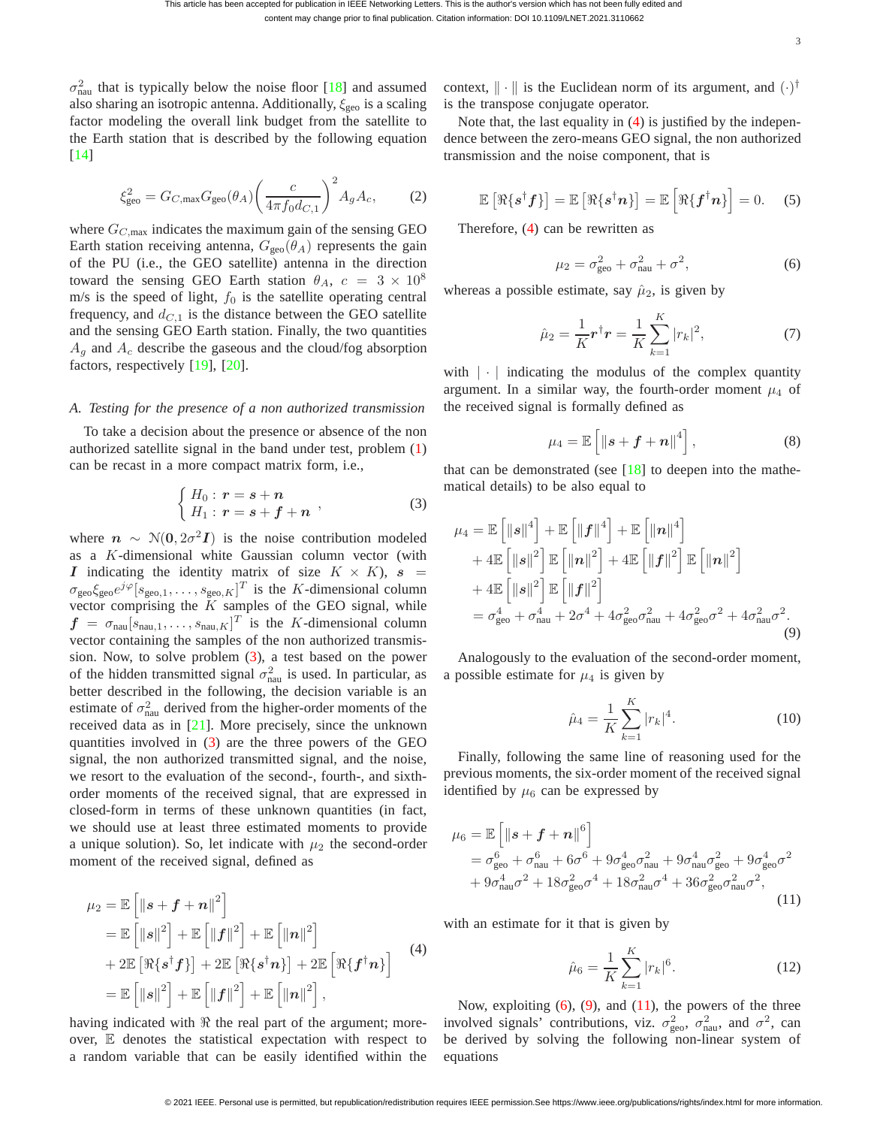$\sigma_{\text{nau}}^2$  that is typically below the noise floor [\[18\]](#page-4-18) and assumed also sharing an isotropic antenna. Additionally,  $\xi_{\text{geo}}$  is a scaling factor modeling the overall link budget from the satellite to the Earth station that is described by the following equation [\[14\]](#page-4-13)

$$
\xi_{\text{geo}}^2 = G_{C,\text{max}} G_{\text{geo}}(\theta_A) \left(\frac{c}{4\pi f_0 d_{C,1}}\right)^2 A_g A_c,\tag{2}
$$

where  $G_{C, \text{max}}$  indicates the maximum gain of the sensing GEO Earth station receiving antenna,  $G_{\text{geo}}(\theta_A)$  represents the gain of the PU (i.e., the GEO satellite) antenna in the direction toward the sensing GEO Earth station  $\theta_A$ ,  $c = 3 \times 10^8$ m/s is the speed of light,  $f_0$  is the satellite operating central frequency, and  $d_{C,1}$  is the distance between the GEO satellite and the sensing GEO Earth station. Finally, the two quantities  $A_q$  and  $A_c$  describe the gaseous and the cloud/fog absorption factors, respectively [\[19\]](#page-4-19), [\[20\]](#page-4-20).

#### *A. Testing for the presence of a non authorized transmission*

To take a decision about the presence or absence of the non authorized satellite signal in the band under test, problem [\(1\)](#page-1-2) can be recast in a more compact matrix form, i.e.,

<span id="page-2-0"></span>
$$
\begin{cases}\nH_0: r = s + n \\
H_1: r = s + f + n\n\end{cases}
$$
\n(3)

where  $n \sim \mathcal{N}(0, 2\sigma^2 I)$  is the noise contribution modeled as a K-dimensional white Gaussian column vector (with I indicating the identity matrix of size  $K \times K$ ),  $s =$  $\sigma_{\text{geo}} \xi_{\text{geo}} e^{j\varphi} [s_{\text{geo},1}, \dots, s_{\text{geo},K}]^T$  is the K-dimensional column vector comprising the  $K$  samples of the GEO signal, while  $f = \sigma_{\text{nau}}[s_{\text{nau},1}, \dots, s_{\text{nau},K}]^T$  is the K-dimensional column vector containing the samples of the non authorized transmission. Now, to solve problem [\(3\)](#page-2-0), a test based on the power of the hidden transmitted signal  $\sigma_{\text{nau}}^2$  is used. In particular, as better described in the following, the decision variable is an estimate of  $\sigma_{\text{nau}}^2$  derived from the higher-order moments of the received data as in [\[21\]](#page-4-21). More precisely, since the unknown quantities involved in [\(3\)](#page-2-0) are the three powers of the GEO signal, the non authorized transmitted signal, and the noise, we resort to the evaluation of the second-, fourth-, and sixthorder moments of the received signal, that are expressed in closed-form in terms of these unknown quantities (in fact, we should use at least three estimated moments to provide a unique solution). So, let indicate with  $\mu_2$  the second-order moment of the received signal, defined as

<span id="page-2-1"></span>
$$
\mu_2 = \mathbb{E} \left[ \|\mathbf{s} + \mathbf{f} + \mathbf{n}\|^2 \right] \n= \mathbb{E} \left[ \|\mathbf{s}\|^2 \right] + \mathbb{E} \left[ \|\mathbf{f}\|^2 \right] + \mathbb{E} \left[ \|\mathbf{n}\|^2 \right] \n+ 2 \mathbb{E} \left[ \Re\{\mathbf{s}^\dagger \mathbf{f}\} \right] + 2 \mathbb{E} \left[ \Re\{\mathbf{s}^\dagger \mathbf{n}\} \right] + 2 \mathbb{E} \left[ \Re\{\mathbf{f}^\dagger \mathbf{n}\} \right] \n= \mathbb{E} \left[ \|\mathbf{s}\|^2 \right] + \mathbb{E} \left[ \|\mathbf{f}\|^2 \right] + \mathbb{E} \left[ \|\mathbf{n}\|^2 \right],
$$
\n(4)

having indicated with  $\Re$  the real part of the argument; moreover, E denotes the statistical expectation with respect to a random variable that can be easily identified within the

context,  $\|\cdot\|$  is the Euclidean norm of its argument, and  $(\cdot)^{\dagger}$ is the transpose conjugate operator.

Note that, the last equality in [\(4\)](#page-2-1) is justified by the independence between the zero-means GEO signal, the non authorized transmission and the noise component, that is

$$
\mathbb{E}\left[\Re\{\boldsymbol{s}^{\dagger}\boldsymbol{f}\}\right] = \mathbb{E}\left[\Re\{\boldsymbol{s}^{\dagger}\boldsymbol{n}\}\right] = \mathbb{E}\left[\Re\{\boldsymbol{f}^{\dagger}\boldsymbol{n}\}\right] = 0. \quad (5)
$$

Therefore, [\(4\)](#page-2-1) can be rewritten as

<span id="page-2-2"></span>
$$
\mu_2 = \sigma_{\text{geo}}^2 + \sigma_{\text{nau}}^2 + \sigma^2,\tag{6}
$$

whereas a possible estimate, say  $\hat{\mu}_2$ , is given by

<span id="page-2-5"></span>
$$
\hat{\mu}_2 = \frac{1}{K} \mathbf{r}^\dagger \mathbf{r} = \frac{1}{K} \sum_{k=1}^K |r_k|^2, \tag{7}
$$

with  $|\cdot|$  indicating the modulus of the complex quantity argument. In a similar way, the fourth-order moment  $\mu_4$  of the received signal is formally defined as

$$
\mu_4 = \mathbb{E}\left[\left\|\boldsymbol{s} + \boldsymbol{f} + \boldsymbol{n}\right\|^4\right],\tag{8}
$$

that can be demonstrated (see  $[18]$  to deepen into the mathematical details) to be also equal to

<span id="page-2-3"></span>
$$
\mu_4 = \mathbb{E}\left[\left\|\mathbf{s}\right\|^4\right] + \mathbb{E}\left[\left\|\mathbf{f}\right\|^4\right] + \mathbb{E}\left[\left\|\mathbf{n}\right\|^4\right] \n+ 4\mathbb{E}\left[\left\|\mathbf{s}\right\|^2\right] \mathbb{E}\left[\left\|\mathbf{n}\right\|^2\right] + 4\mathbb{E}\left[\left\|\mathbf{f}\right\|^2\right] \mathbb{E}\left[\left\|\mathbf{n}\right\|^2\right] \n+ 4\mathbb{E}\left[\left\|\mathbf{s}\right\|^2\right] \mathbb{E}\left[\left\|\mathbf{f}\right\|^2\right] \n= \sigma_{\text{geo}}^4 + \sigma_{\text{nau}}^4 + 2\sigma^4 + 4\sigma_{\text{geo}}^2\sigma_{\text{nau}}^2 + 4\sigma_{\text{geo}}^2\sigma^2 + 4\sigma_{\text{nau}}^2\sigma^2.
$$
\n(9)

Analogously to the evaluation of the second-order moment, a possible estimate for  $\mu_4$  is given by

<span id="page-2-6"></span>
$$
\hat{\mu}_4 = \frac{1}{K} \sum_{k=1}^{K} |r_k|^4.
$$
\n(10)

Finally, following the same line of reasoning used for the previous moments, the six-order moment of the received signal identified by  $\mu_6$  can be expressed by

<span id="page-2-4"></span>
$$
\mu_6 = \mathbb{E} \left[ \left\| s + f + n \right\|^6 \right] \n= \sigma_{\text{geo}}^6 + \sigma_{\text{nau}}^6 + 6\sigma^6 + 9\sigma_{\text{geo}}^4 \sigma_{\text{nau}}^2 + 9\sigma_{\text{nau}}^4 \sigma_{\text{geo}}^2 + 9\sigma_{\text{geo}}^4 \sigma^2 \n+ 9\sigma_{\text{nau}}^4 \sigma^2 + 18\sigma_{\text{geo}}^2 \sigma^4 + 18\sigma_{\text{nau}}^2 \sigma^4 + 36\sigma_{\text{geo}}^2 \sigma_{\text{nau}}^2 \sigma^2, \tag{11}
$$

with an estimate for it that is given by

<span id="page-2-7"></span>
$$
\hat{\mu}_6 = \frac{1}{K} \sum_{k=1}^{K} |r_k|^6.
$$
\n(12)

Now, exploiting  $(6)$ ,  $(9)$ , and  $(11)$ , the powers of the three involved signals' contributions, viz.  $\sigma_{\text{geo}}^2$ ,  $\sigma_{\text{nau}}^2$ , and  $\sigma^2$ , can be derived by solving the following non-linear system of equations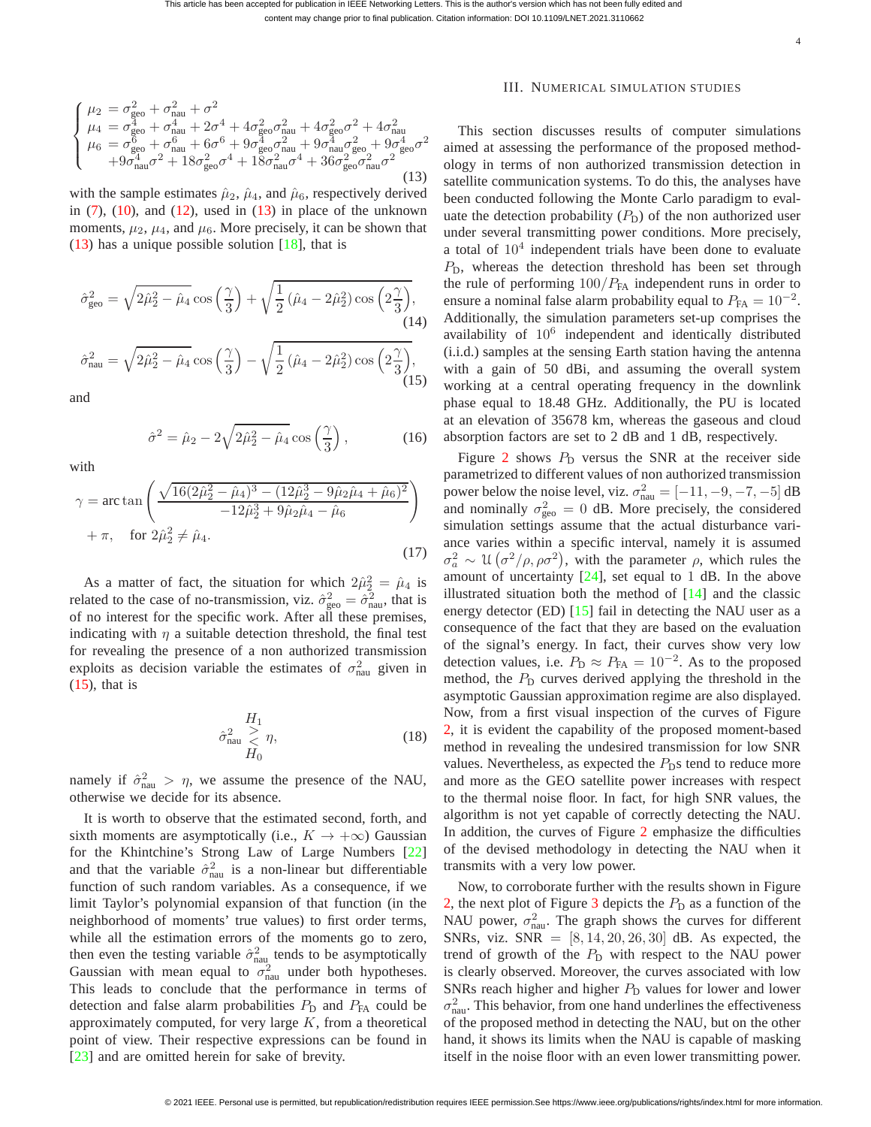<span id="page-3-1"></span>
$$
\begin{cases}\n\mu_2 = \sigma_{\text{geo}}^2 + \sigma_{\text{nau}}^2 + \sigma^2 \\
\mu_4 = \sigma_{\text{geo}}^4 + \sigma_{\text{nau}}^4 + 2\sigma^4 + 4\sigma_{\text{geo}}^2\sigma_{\text{nau}}^2 + 4\sigma_{\text{geo}}^2\sigma^2 + 4\sigma_{\text{nau}}^2 \\
\mu_6 = \sigma_{\text{geo}}^6 + \sigma_{\text{nau}}^6 + 6\sigma^6 + 9\sigma_{\text{geo}}^4\sigma_{\text{nau}}^2 + 9\sigma_{\text{nau}}^4\sigma_{\text{geo}}^2 + 9\sigma_{\text{geo}}^4\sigma^2 \\
+9\sigma_{\text{nau}}^4\sigma^2 + 18\sigma_{\text{geo}}^2\sigma^4 + 18\sigma_{\text{nau}}^2\sigma^4 + 36\sigma_{\text{geo}}^2\sigma_{\text{nau}}^2\sigma^2\n\end{cases}
$$
\n(13)

with the sample estimates  $\hat{\mu}_2$ ,  $\hat{\mu}_4$ , and  $\hat{\mu}_6$ , respectively derived in  $(7)$ ,  $(10)$ , and  $(12)$ , used in  $(13)$  in place of the unknown moments,  $\mu_2$ ,  $\mu_4$ , and  $\mu_6$ . More precisely, it can be shown that  $(13)$  has a unique possible solution  $[18]$ , that is

$$
\hat{\sigma}_{\text{geo}}^2 = \sqrt{2\hat{\mu}_2^2 - \hat{\mu}_4} \cos\left(\frac{\gamma}{3}\right) + \sqrt{\frac{1}{2}(\hat{\mu}_4 - 2\hat{\mu}_2^2)\cos\left(2\frac{\gamma}{3}\right)},\tag{14}
$$
\n
$$
\hat{\sigma}_{\text{nau}}^2 = \sqrt{2\hat{\mu}_2^2 - \hat{\mu}_4}\cos\left(\frac{\gamma}{3}\right) - \sqrt{\frac{1}{2}(\hat{\mu}_4 - 2\hat{\mu}_2^2)\cos\left(2\frac{\gamma}{3}\right)},\tag{15}
$$

<span id="page-3-2"></span>and

$$
\hat{\sigma}^2 = \hat{\mu}_2 - 2\sqrt{2\hat{\mu}_2^2 - \hat{\mu}_4} \cos\left(\frac{\gamma}{3}\right),\tag{16}
$$

with

$$
\gamma = \arctan\left(\frac{\sqrt{16(2\hat{\mu}_2^2 - \hat{\mu}_4)^3 - (12\hat{\mu}_2^3 - 9\hat{\mu}_2\hat{\mu}_4 + \hat{\mu}_6)^2}}{-12\hat{\mu}_2^3 + 9\hat{\mu}_2\hat{\mu}_4 - \hat{\mu}_6}\right) + \pi, \quad \text{for } 2\hat{\mu}_2^2 \neq \hat{\mu}_4.
$$
\n(17)

As a matter of fact, the situation for which  $2\hat{\mu}_2^2 = \hat{\mu}_4$  is related to the case of no-transmission, viz.  $\hat{\sigma}_{geo}^2 = \hat{\sigma}_{nau}^2$ , that is of no interest for the specific work. After all these premises, indicating with  $\eta$  a suitable detection threshold, the final test for revealing the presence of a non authorized transmission exploits as decision variable the estimates of  $\sigma_{\text{nau}}^2$  given in  $(15)$ , that is

$$
\hat{\sigma}_{\text{nau}}^2 \underset{H_0}{\overset{>}{\geq}} \eta,\tag{18}
$$

namely if  $\hat{\sigma}_{\text{nau}}^2 > \eta$ , we assume the presence of the NAU, otherwise we decide for its absence.

It is worth to observe that the estimated second, forth, and sixth moments are asymptotically (i.e.,  $K \to +\infty$ ) Gaussian for the Khintchine's Strong Law of Large Numbers [\[22\]](#page-4-22) and that the variable  $\hat{\sigma}_{\text{nau}}^2$  is a non-linear but differentiable function of such random variables. As a consequence, if we limit Taylor's polynomial expansion of that function (in the neighborhood of moments' true values) to first order terms, while all the estimation errors of the moments go to zero, then even the testing variable  $\hat{\sigma}_{\text{nau}}^2$  tends to be asymptotically Gaussian with mean equal to  $\sigma_{\text{nau}}^2$  under both hypotheses. This leads to conclude that the performance in terms of detection and false alarm probabilities  $P_D$  and  $P_{FA}$  could be approximately computed, for very large  $K$ , from a theoretical point of view. Their respective expressions can be found in [\[23\]](#page-4-23) and are omitted herein for sake of brevity.

### <span id="page-3-0"></span>III. NUMERICAL SIMULATION STUDIES

This section discusses results of computer simulations aimed at assessing the performance of the proposed methodology in terms of non authorized transmission detection in satellite communication systems. To do this, the analyses have been conducted following the Monte Carlo paradigm to evaluate the detection probability  $(P_D)$  of the non authorized user under several transmitting power conditions. More precisely, a total of  $10<sup>4</sup>$  independent trials have been done to evaluate  $P<sub>D</sub>$ , whereas the detection threshold has been set through the rule of performing  $100/P_{FA}$  independent runs in order to ensure a nominal false alarm probability equal to  $P_{FA} = 10^{-2}$ . Additionally, the simulation parameters set-up comprises the availability of  $10^6$  independent and identically distributed (i.i.d.) samples at the sensing Earth station having the antenna with a gain of 50 dBi, and assuming the overall system working at a central operating frequency in the downlink phase equal to 18.48 GHz. Additionally, the PU is located at an elevation of 35678 km, whereas the gaseous and cloud absorption factors are set to 2 dB and 1 dB, respectively.

Figure [2](#page-4-24) shows  $P_D$  versus the SNR at the receiver side parametrized to different values of non authorized transmission power below the noise level, viz.  $\sigma_{\text{nau}}^2 = [-11, -9, -7, -5]$  dB and nominally  $\sigma_{\text{geo}}^2 = 0$  dB. More precisely, the considered simulation settings assume that the actual disturbance variance varies within a specific interval, namely it is assumed  $\sigma_a^2 \sim \mathfrak{U}\left(\sigma^2/\rho, \rho \sigma^2\right)$ , with the parameter  $\rho$ , which rules the amount of uncertainty  $[24]$ , set equal to 1 dB. In the above illustrated situation both the method of [\[14\]](#page-4-13) and the classic energy detector (ED) [\[15\]](#page-4-14) fail in detecting the NAU user as a consequence of the fact that they are based on the evaluation of the signal's energy. In fact, their curves show very low detection values, i.e.  $P_D \approx P_{FA} = 10^{-2}$ . As to the proposed method, the  $P<sub>D</sub>$  curves derived applying the threshold in the asymptotic Gaussian approximation regime are also displayed. Now, from a first visual inspection of the curves of Figure [2,](#page-4-24) it is evident the capability of the proposed moment-based method in revealing the undesired transmission for low SNR values. Nevertheless, as expected the  $P<sub>D</sub>$ s tend to reduce more and more as the GEO satellite power increases with respect to the thermal noise floor. In fact, for high SNR values, the algorithm is not yet capable of correctly detecting the NAU. In addition, the curves of Figure [2](#page-4-24) emphasize the difficulties of the devised methodology in detecting the NAU when it transmits with a very low power.

Now, to corroborate further with the results shown in Figure [2,](#page-4-24) the next plot of Figure [3](#page-4-26) depicts the  $P<sub>D</sub>$  as a function of the NAU power,  $\sigma_{\text{nau}}^2$ . The graph shows the curves for different SNRs, viz. SNR =  $[8, 14, 20, 26, 30]$  dB. As expected, the trend of growth of the  $P_D$  with respect to the NAU power is clearly observed. Moreover, the curves associated with low SNRs reach higher and higher  $P_D$  values for lower and lower  $\sigma_{\text{nau}}^2$ . This behavior, from one hand underlines the effectiveness of the proposed method in detecting the NAU, but on the other hand, it shows its limits when the NAU is capable of masking itself in the noise floor with an even lower transmitting power.